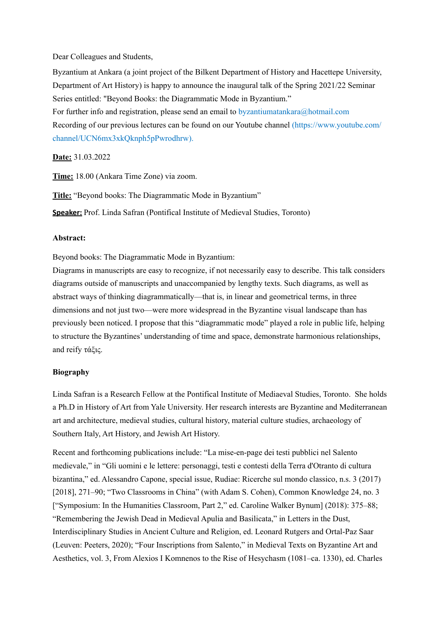Dear Colleagues and Students,

Byzantium at Ankara (a joint project of the Bilkent Department of History and Hacettepe University, Department of Art History) is happy to announce the inaugural talk of the Spring 2021/22 Seminar Series entitled: "Beyond Books: the Diagrammatic Mode in Byzantium." For further info and registration, please send an email to [byzantiumatankara@hotmail.com](mailto:byzantiumatankara@hotmail.com) Recording of our previous lectures can be found on our Youtube channel ([https://www.youtube.com/](https://www.youtube.com/channel/UCN6mx3xkQknph5pPwrodhrw) [channel/UCN6mx3xkQknph5pPwrodhrw](https://www.youtube.com/channel/UCN6mx3xkQknph5pPwrodhrw)).

**Date:** 31.03.2022

**Time:** 18.00 (Ankara Time Zone) via zoom.

**Title:** "Beyond books: The Diagrammatic Mode in Byzantium"

**Speaker:** Prof. Linda Safran (Pontifical Institute of Medieval Studies, Toronto)

## **Abstract:**

Beyond books: The Diagrammatic Mode in Byzantium:

Diagrams in manuscripts are easy to recognize, if not necessarily easy to describe. This talk considers diagrams outside of manuscripts and unaccompanied by lengthy texts. Such diagrams, as well as abstract ways of thinking diagrammatically—that is, in linear and geometrical terms, in three dimensions and not just two—were more widespread in the Byzantine visual landscape than has previously been noticed. I propose that this "diagrammatic mode" played a role in public life, helping to structure the Byzantines' understanding of time and space, demonstrate harmonious relationships, and reify τάξις.

## **Biography**

Linda Safran is a Research Fellow at the Pontifical Institute of Mediaeval Studies, Toronto. She holds a Ph.D in History of Art from Yale University. Her research interests are Byzantine and Mediterranean art and architecture, medieval studies, cultural history, material culture studies, archaeology of Southern Italy, Art History, and Jewish Art History.

Recent and forthcoming publications include: "La mise-en-page dei testi pubblici nel Salento medievale," in "Gli uomini e le lettere: personaggi, testi e contesti della Terra d'Otranto di cultura bizantina," ed. Alessandro Capone, special issue, Rudiae: Ricerche sul mondo classico, n.s. 3 (2017) [2018], 271–90; "Two Classrooms in China" (with Adam S. Cohen), Common Knowledge 24, no. 3 ["Symposium: In the Humanities Classroom, Part 2," ed. Caroline Walker Bynum] (2018): 375–88; "Remembering the Jewish Dead in Medieval Apulia and Basilicata," in Letters in the Dust, Interdisciplinary Studies in Ancient Culture and Religion, ed. Leonard Rutgers and Ortal-Paz Saar (Leuven: Peeters, 2020); "Four Inscriptions from Salento," in Medieval Texts on Byzantine Art and Aesthetics, vol. 3, From Alexios I Komnenos to the Rise of Hesychasm (1081–ca. 1330), ed. Charles